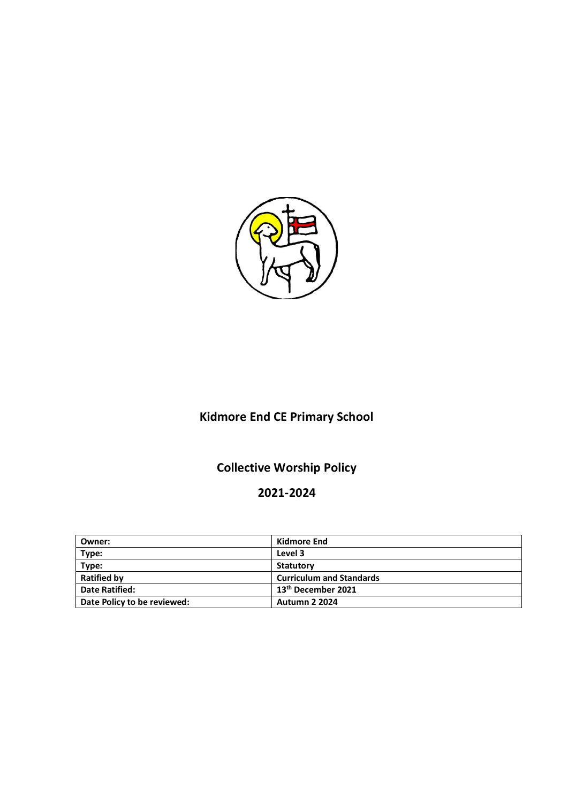

# **Kidmore End CE Primary School**

# **Collective Worship Policy**

# **2021-2024**

| Owner:                      | <b>Kidmore End</b>              |
|-----------------------------|---------------------------------|
| Type:                       | Level 3                         |
| Type:                       | Statutory                       |
| <b>Ratified by</b>          | <b>Curriculum and Standards</b> |
| <b>Date Ratified:</b>       | 13 <sup>th</sup> December 2021  |
| Date Policy to be reviewed: | <b>Autumn 2 2024</b>            |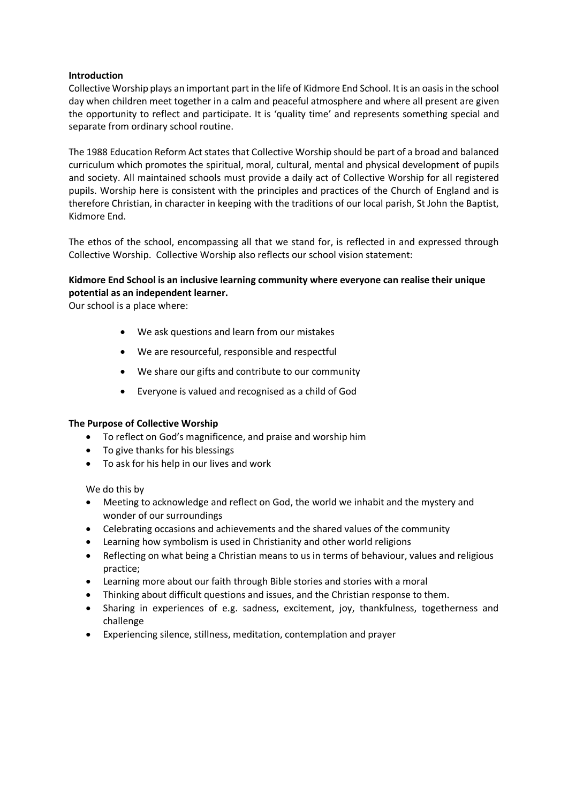#### **Introduction**

Collective Worship plays an important part in the life of Kidmore End School. It is an oasis in the school day when children meet together in a calm and peaceful atmosphere and where all present are given the opportunity to reflect and participate. It is 'quality time' and represents something special and separate from ordinary school routine.

The 1988 Education Reform Act states that Collective Worship should be part of a broad and balanced curriculum which promotes the spiritual, moral, cultural, mental and physical development of pupils and society. All maintained schools must provide a daily act of Collective Worship for all registered pupils. Worship here is consistent with the principles and practices of the Church of England and is therefore Christian, in character in keeping with the traditions of our local parish, St John the Baptist, Kidmore End.

The ethos of the school, encompassing all that we stand for, is reflected in and expressed through Collective Worship. Collective Worship also reflects our school vision statement:

# **Kidmore End School is an inclusive learning community where everyone can realise their unique potential as an independent learner.**

Our school is a place where:

- We ask questions and learn from our mistakes
- We are resourceful, responsible and respectful
- We share our gifts and contribute to our community
- Everyone is valued and recognised as a child of God

#### **The Purpose of Collective Worship**

- To reflect on God's magnificence, and praise and worship him
- To give thanks for his blessings
- To ask for his help in our lives and work

We do this by

- Meeting to acknowledge and reflect on God, the world we inhabit and the mystery and wonder of our surroundings
- Celebrating occasions and achievements and the shared values of the community
- Learning how symbolism is used in Christianity and other world religions
- Reflecting on what being a Christian means to us in terms of behaviour, values and religious practice;
- Learning more about our faith through Bible stories and stories with a moral
- Thinking about difficult questions and issues, and the Christian response to them.
- Sharing in experiences of e.g. sadness, excitement, joy, thankfulness, togetherness and challenge
- Experiencing silence, stillness, meditation, contemplation and prayer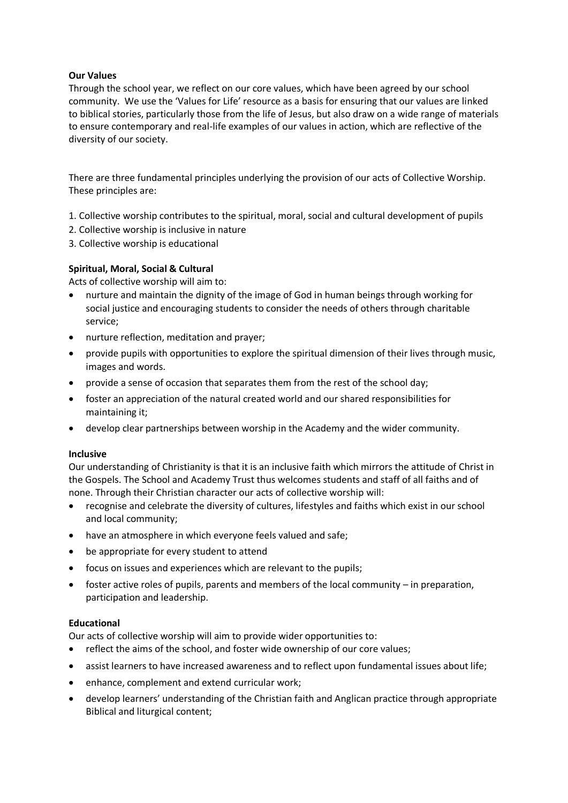### **Our Values**

Through the school year, we reflect on our core values, which have been agreed by our school community. We use the 'Values for Life' resource as a basis for ensuring that our values are linked to biblical stories, particularly those from the life of Jesus, but also draw on a wide range of materials to ensure contemporary and real-life examples of our values in action, which are reflective of the diversity of our society.

There are three fundamental principles underlying the provision of our acts of Collective Worship. These principles are:

- 1. Collective worship contributes to the spiritual, moral, social and cultural development of pupils
- 2. Collective worship is inclusive in nature
- 3. Collective worship is educational

### **Spiritual, Moral, Social & Cultural**

Acts of collective worship will aim to:

- nurture and maintain the dignity of the image of God in human beings through working for social justice and encouraging students to consider the needs of others through charitable service;
- nurture reflection, meditation and prayer;
- provide pupils with opportunities to explore the spiritual dimension of their lives through music, images and words.
- provide a sense of occasion that separates them from the rest of the school day;
- foster an appreciation of the natural created world and our shared responsibilities for maintaining it;
- develop clear partnerships between worship in the Academy and the wider community.

#### **Inclusive**

Our understanding of Christianity is that it is an inclusive faith which mirrors the attitude of Christ in the Gospels. The School and Academy Trust thus welcomes students and staff of all faiths and of none. Through their Christian character our acts of collective worship will:

- recognise and celebrate the diversity of cultures, lifestyles and faiths which exist in our school and local community;
- have an atmosphere in which everyone feels valued and safe;
- be appropriate for every student to attend
- focus on issues and experiences which are relevant to the pupils;
- $\bullet$  foster active roles of pupils, parents and members of the local community in preparation, participation and leadership.

#### **Educational**

Our acts of collective worship will aim to provide wider opportunities to:

- reflect the aims of the school, and foster wide ownership of our core values;
- assist learners to have increased awareness and to reflect upon fundamental issues about life;
- enhance, complement and extend curricular work;
- develop learners' understanding of the Christian faith and Anglican practice through appropriate Biblical and liturgical content;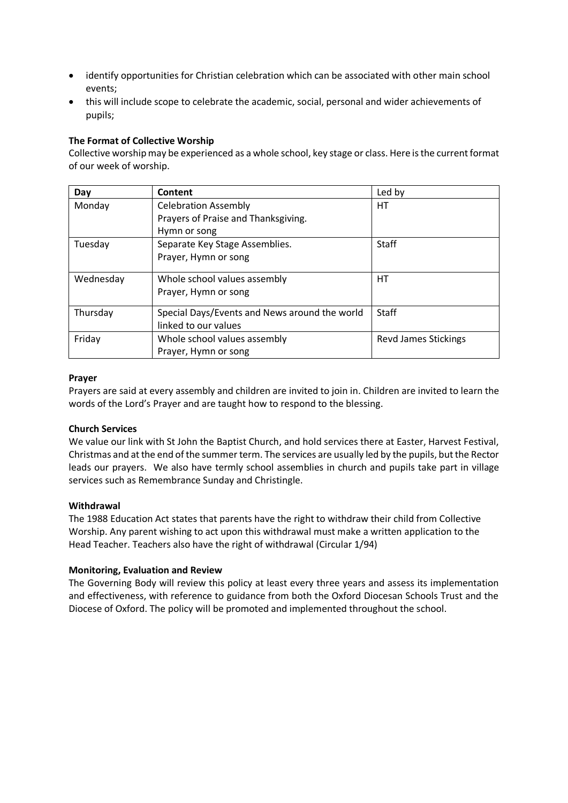- identify opportunities for Christian celebration which can be associated with other main school events;
- this will include scope to celebrate the academic, social, personal and wider achievements of pupils;

#### **The Format of Collective Worship**

Collective worship may be experienced as a whole school, key stage or class. Here is the current format of our week of worship.

| Day       | Content                                       | Led by                      |
|-----------|-----------------------------------------------|-----------------------------|
| Monday    | <b>Celebration Assembly</b>                   | HT                          |
|           | Prayers of Praise and Thanksgiving.           |                             |
|           | Hymn or song                                  |                             |
| Tuesday   | Separate Key Stage Assemblies.                | <b>Staff</b>                |
|           | Prayer, Hymn or song                          |                             |
| Wednesday | Whole school values assembly                  | HT                          |
|           | Prayer, Hymn or song                          |                             |
| Thursday  | Special Days/Events and News around the world | <b>Staff</b>                |
|           | linked to our values                          |                             |
| Friday    | Whole school values assembly                  | <b>Revd James Stickings</b> |
|           | Prayer, Hymn or song                          |                             |

### **Prayer**

Prayers are said at every assembly and children are invited to join in. Children are invited to learn the words of the Lord's Prayer and are taught how to respond to the blessing.

#### **Church Services**

We value our link with St John the Baptist Church, and hold services there at Easter, Harvest Festival, Christmas and at the end of the summer term. The services are usually led by the pupils, but the Rector leads our prayers. We also have termly school assemblies in church and pupils take part in village services such as Remembrance Sunday and Christingle.

#### **Withdrawal**

The 1988 Education Act states that parents have the right to withdraw their child from Collective Worship. Any parent wishing to act upon this withdrawal must make a written application to the Head Teacher. Teachers also have the right of withdrawal (Circular 1/94)

## **Monitoring, Evaluation and Review**

The Governing Body will review this policy at least every three years and assess its implementation and effectiveness, with reference to guidance from both the Oxford Diocesan Schools Trust and the Diocese of Oxford. The policy will be promoted and implemented throughout the school.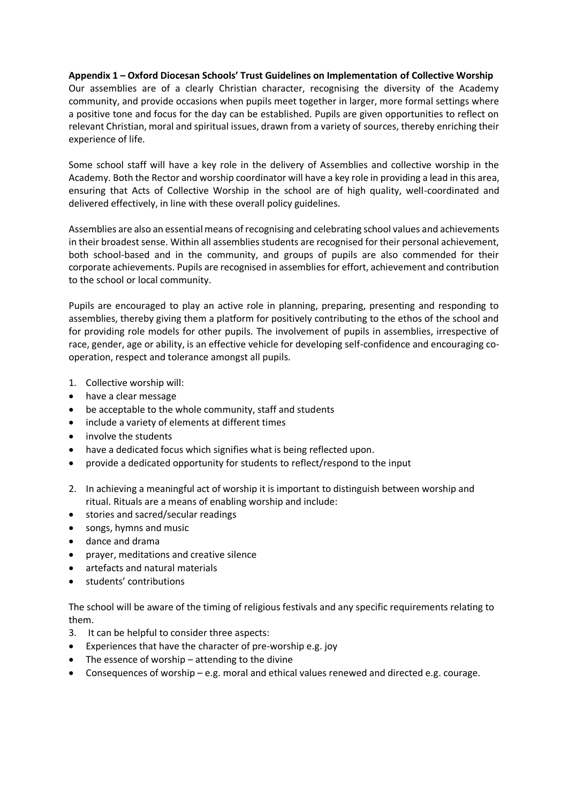#### **Appendix 1 – Oxford Diocesan Schools' Trust Guidelines on Implementation of Collective Worship**

Our assemblies are of a clearly Christian character, recognising the diversity of the Academy community, and provide occasions when pupils meet together in larger, more formal settings where a positive tone and focus for the day can be established. Pupils are given opportunities to reflect on relevant Christian, moral and spiritual issues, drawn from a variety of sources, thereby enriching their experience of life.

Some school staff will have a key role in the delivery of Assemblies and collective worship in the Academy. Both the Rector and worship coordinator will have a key role in providing a lead in this area, ensuring that Acts of Collective Worship in the school are of high quality, well-coordinated and delivered effectively, in line with these overall policy guidelines.

Assemblies are also an essential means of recognising and celebrating school values and achievements in their broadest sense. Within all assemblies students are recognised for their personal achievement, both school-based and in the community, and groups of pupils are also commended for their corporate achievements. Pupils are recognised in assemblies for effort, achievement and contribution to the school or local community.

Pupils are encouraged to play an active role in planning, preparing, presenting and responding to assemblies, thereby giving them a platform for positively contributing to the ethos of the school and for providing role models for other pupils. The involvement of pupils in assemblies, irrespective of race, gender, age or ability, is an effective vehicle for developing self-confidence and encouraging cooperation, respect and tolerance amongst all pupils.

- 1. Collective worship will:
- have a clear message
- be acceptable to the whole community, staff and students
- include a variety of elements at different times
- involve the students
- have a dedicated focus which signifies what is being reflected upon.
- provide a dedicated opportunity for students to reflect/respond to the input
- 2. In achieving a meaningful act of worship it is important to distinguish between worship and ritual. Rituals are a means of enabling worship and include:
- stories and sacred/secular readings
- songs, hymns and music
- dance and drama
- prayer, meditations and creative silence
- artefacts and natural materials
- students' contributions

The school will be aware of the timing of religious festivals and any specific requirements relating to them.

- 3. It can be helpful to consider three aspects:
- Experiences that have the character of pre-worship e.g. joy
- The essence of worship attending to the divine
- Consequences of worship e.g. moral and ethical values renewed and directed e.g. courage.